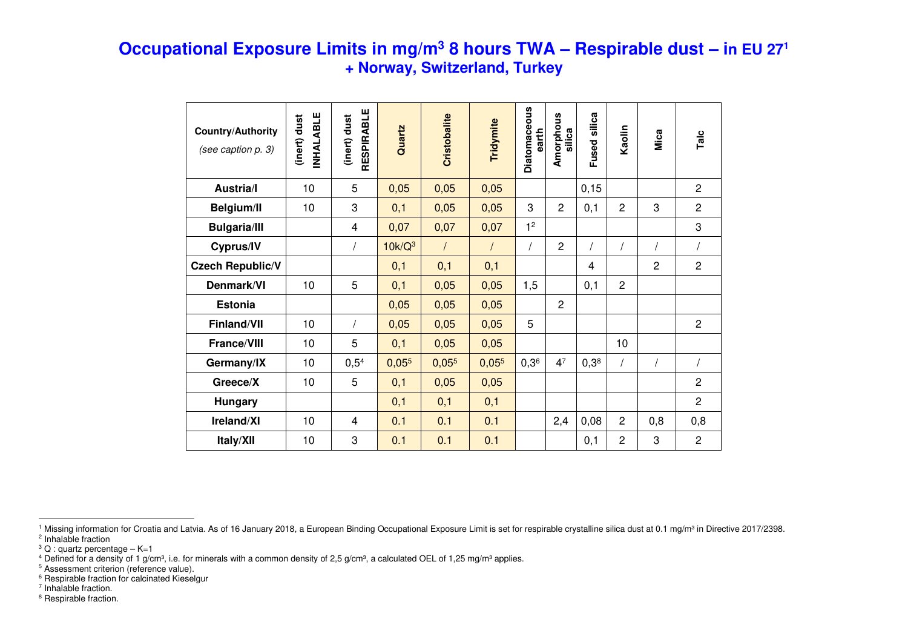## **Occupational Exposure Limits in mg/m<sup>3</sup> 8 hours TWA – Respirable dust – in EU 271 + Norway, Switzerland, Turkey**

| <b>Country/Authority</b><br>(see caption p. 3) | NHALABLE<br>(inert) dust | RESPIRABLE<br>(inert) dust | Quartz    | <b>Cristobalite</b> | Tridymite | Diatomaceous<br>earth | Amorphous<br>silica | Fused silica | Kaolin         | Mica           | Talc           |
|------------------------------------------------|--------------------------|----------------------------|-----------|---------------------|-----------|-----------------------|---------------------|--------------|----------------|----------------|----------------|
| <b>Austria/I</b>                               | 10                       | 5                          | 0,05      | 0,05                | 0,05      |                       |                     | 0, 15        |                |                | $\overline{2}$ |
| <b>Belgium/II</b>                              | 10                       | 3                          | 0,1       | 0,05                | 0,05      | 3                     | $\overline{2}$      | 0,1          | $\overline{2}$ | 3              | $\overline{2}$ |
| <b>Bulgaria/III</b>                            |                          | $\overline{\mathbf{4}}$    | 0,07      | 0,07                | 0,07      | 1 <sup>2</sup>        |                     |              |                |                | 3              |
| Cyprus/IV                                      |                          |                            | $10k/Q^3$ | $\prime$            | $\prime$  |                       | $\overline{c}$      |              |                |                |                |
| <b>Czech Republic/V</b>                        |                          |                            | 0,1       | 0,1                 | 0,1       |                       |                     | 4            |                | $\overline{c}$ | $\overline{c}$ |
| Denmark/VI                                     | 10                       | 5                          | 0,1       | 0,05                | 0,05      | 1,5                   |                     | 0,1          | $\overline{c}$ |                |                |
| <b>Estonia</b>                                 |                          |                            | 0,05      | 0,05                | 0,05      |                       | $\overline{c}$      |              |                |                |                |
| Finland/VII                                    | 10                       |                            | 0,05      | 0,05                | 0,05      | 5                     |                     |              |                |                | $\overline{c}$ |
| <b>France/VIII</b>                             | 10                       | 5                          | 0,1       | 0,05                | 0,05      |                       |                     |              | 10             |                |                |
| Germany/IX                                     | 10                       | 0,5 <sup>4</sup>           | 0,055     | 0,055               | 0,055     | 0,3 <sup>6</sup>      | 4 <sup>7</sup>      | $0,3^8$      |                | $\sqrt{2}$     | $\prime$       |
| Greece/X                                       | 10                       | 5                          | 0,1       | 0,05                | 0,05      |                       |                     |              |                |                | $\overline{c}$ |
| <b>Hungary</b>                                 |                          |                            | 0,1       | 0,1                 | 0,1       |                       |                     |              |                |                | $\overline{2}$ |
| Ireland/XI                                     | 10                       | 4                          | 0.1       | 0.1                 | 0.1       |                       | 2,4                 | 0,08         | 2              | 0,8            | 0,8            |
| Italy/XII                                      | 10                       | 3                          | 0.1       | 0.1                 | 0.1       |                       |                     | 0,1          | $\overline{c}$ | 3              | $\overline{c}$ |

<sup>6</sup> Respirable fraction for calcinated Kieselgur

<sup>7</sup> Inhalable fraction.

<sup>8</sup> Respirable fraction.

<sup>&</sup>lt;sup>1</sup> Missing information for Croatia and Latvia. As of 16 January 2018, a European Binding Occupational Exposure Limit is set for respirable crystalline silica dust at 0.1 mg/m<sup>3</sup> in Directive 2017/2398. <sup>2</sup> Inhalable fraction

 $3$  Q : quartz percentage – K=1

<sup>&</sup>lt;sup>4</sup> Defined for a density of 1 g/cm3, i.e. for minerals with a common density of 2,5 g/cm3, a calculated OEL of 1,25 mg/m3 applies.<br><sup>5</sup> Assessment criterion (reference value).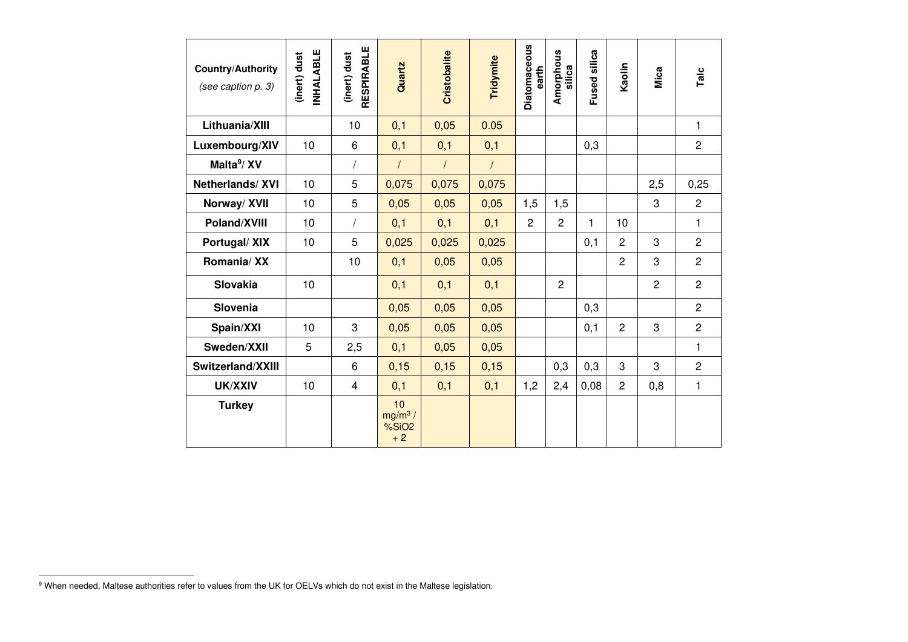| <b>Country/Authority</b><br>(see caption p. 3) | <b>INHALABLE</b><br>(inert) dust | <b>RESPIRABLE</b><br>(inert) dust | Quartz                                       | Cristobalite | Tridymite  | <b>Diatomaceous</b><br>earth | Amorphous<br>silica | Fused silica | Kaolin         | Mica           | Talc           |
|------------------------------------------------|----------------------------------|-----------------------------------|----------------------------------------------|--------------|------------|------------------------------|---------------------|--------------|----------------|----------------|----------------|
| Lithuania/XIII                                 |                                  | 10                                | 0,1                                          | 0,05         | 0.05       |                              |                     |              |                |                | 1              |
| Luxembourg/XIV                                 | 10                               | 6                                 | 0,1                                          | 0,1          | 0,1        |                              |                     | 0,3          |                |                | $\overline{2}$ |
| Malta <sup>9</sup> /XV                         |                                  |                                   | $\prime$                                     | $\prime$     | $\sqrt{ }$ |                              |                     |              |                |                |                |
| Netherlands/XVI                                | 10                               | 5                                 | 0,075                                        | 0,075        | 0,075      |                              |                     |              |                | 2,5            | 0,25           |
| Norway/ XVII                                   | 10                               | 5                                 | 0,05                                         | 0,05         | 0,05       | 1,5                          | 1,5                 |              |                | 3              | $\overline{c}$ |
| Poland/XVIII                                   | 10                               | $\overline{1}$                    | 0,1                                          | 0,1          | 0,1        | $\overline{2}$               | $\overline{2}$      | $\mathbf{1}$ | 10             |                | 1              |
| Portugal/XIX                                   | 10                               | 5                                 | 0,025                                        | 0,025        | 0,025      |                              |                     | 0,1          | $\overline{2}$ | 3              | $\overline{c}$ |
| Romania/ XX                                    |                                  | 10                                | 0,1                                          | 0,05         | 0,05       |                              |                     |              | $\overline{2}$ | 3              | $\overline{2}$ |
| <b>Slovakia</b>                                | 10                               |                                   | 0,1                                          | 0,1          | 0,1        |                              | $\overline{c}$      |              |                | $\overline{c}$ | $\overline{c}$ |
| Slovenia                                       |                                  |                                   | 0,05                                         | 0,05         | 0,05       |                              |                     | 0,3          |                |                | $\overline{c}$ |
| Spain/XXI                                      | 10                               | 3                                 | 0,05                                         | 0,05         | 0,05       |                              |                     | 0,1          | $\overline{2}$ | 3              | $\overline{2}$ |
| Sweden/XXII                                    | 5                                | 2,5                               | 0,1                                          | 0,05         | 0,05       |                              |                     |              |                |                | 1              |
| Switzerland/XXIII                              |                                  | 6                                 | 0,15                                         | 0,15         | 0,15       |                              | 0,3                 | 0,3          | 3              | 3              | $\overline{c}$ |
| UK/XXIV                                        | 10                               | $\overline{4}$                    | 0,1                                          | 0,1          | 0,1        | 1,2                          | 2,4                 | 0,08         | $\overline{2}$ | 0,8            | 1              |
| <b>Turkey</b>                                  |                                  |                                   | 10<br>$mg/m3$ /<br>%SiO <sub>2</sub><br>$+2$ |              |            |                              |                     |              |                |                |                |

<sup>&</sup>lt;sup>9</sup> When needed, Maltese authorities refer to values from the UK for OELVs which do not exist in the Maltese legislation.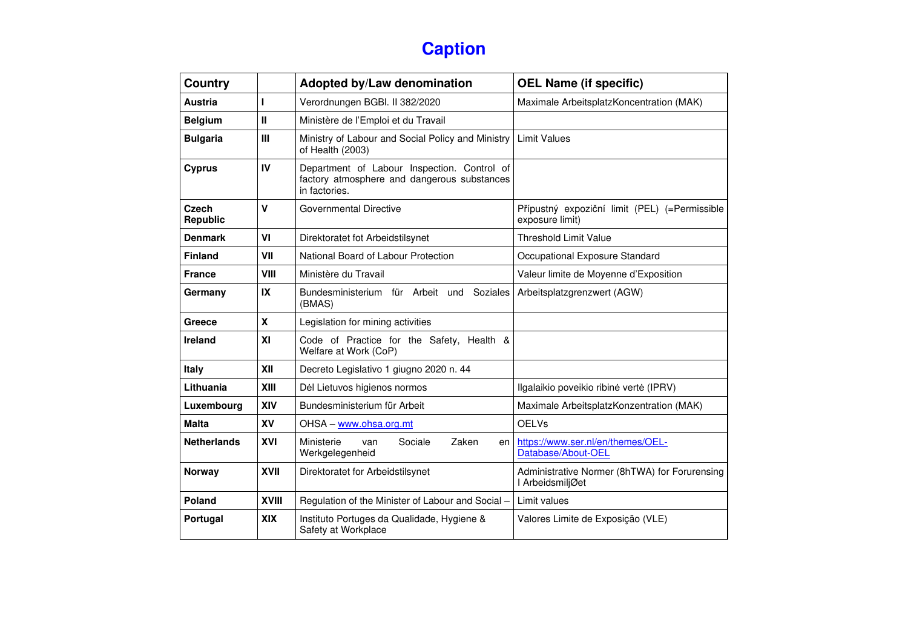## **Caption**

| Country                  |              | Adopted by/Law denomination                                                                                 | <b>OEL Name (if specific)</b>                                     |  |  |  |  |
|--------------------------|--------------|-------------------------------------------------------------------------------------------------------------|-------------------------------------------------------------------|--|--|--|--|
| <b>Austria</b>           | т            | Verordnungen BGBI. II 382/2020                                                                              | Maximale ArbeitsplatzKoncentration (MAK)                          |  |  |  |  |
| <b>Belgium</b>           | $\mathbf{I}$ | Ministère de l'Emploi et du Travail                                                                         |                                                                   |  |  |  |  |
| <b>Bulgaria</b>          | III          | Ministry of Labour and Social Policy and Ministry<br>of Health (2003)                                       | <b>Limit Values</b>                                               |  |  |  |  |
| <b>Cyprus</b>            | IV           | Department of Labour Inspection. Control of<br>factory atmosphere and dangerous substances<br>in factories. |                                                                   |  |  |  |  |
| <b>Czech</b><br>Republic | $\mathsf{V}$ | Governmental Directive                                                                                      | Přípustný expoziční limit (PEL) (=Permissible<br>exposure limit)  |  |  |  |  |
| <b>Denmark</b>           | VI           | Direktoratet fot Arbeidstilsynet                                                                            | <b>Threshold Limit Value</b>                                      |  |  |  |  |
| <b>Finland</b>           | VII          | National Board of Labour Protection                                                                         | Occupational Exposure Standard                                    |  |  |  |  |
| <b>France</b>            | VIII         | Ministère du Travail                                                                                        | Valeur limite de Moyenne d'Exposition                             |  |  |  |  |
| Germany                  | IX           | Bundesministerium für Arbeit und<br>Soziales<br>(BMAS)                                                      | Arbeitsplatzgrenzwert (AGW)                                       |  |  |  |  |
| Greece                   | $\mathbf{x}$ | Legislation for mining activities                                                                           |                                                                   |  |  |  |  |
| Ireland                  | XI           | Code of Practice for the Safety, Health &<br>Welfare at Work (CoP)                                          |                                                                   |  |  |  |  |
| <b>Italy</b>             | XII          | Decreto Legislativo 1 giugno 2020 n. 44                                                                     |                                                                   |  |  |  |  |
| Lithuania                | XIII         | Dėl Lietuvos higienos normos                                                                                | Ilgalaikio poveikio ribinė vertė (IPRV)                           |  |  |  |  |
| Luxembourg               | XIV          | Bundesministerium für Arbeit                                                                                | Maximale ArbeitsplatzKonzentration (MAK)                          |  |  |  |  |
| <b>Malta</b>             | XV           | OHSA - www.ohsa.org.mt                                                                                      | <b>OELVs</b>                                                      |  |  |  |  |
| <b>Netherlands</b>       | XVI          | Zaken<br>Ministerie<br>Sociale<br>van<br>en<br>Werkgelegenheid                                              | https://www.ser.nl/en/themes/OEL-<br>Database/About-OEL           |  |  |  |  |
| <b>Norway</b>            | XVII         | Direktoratet for Arbeidstilsynet                                                                            | Administrative Normer (8hTWA) for Forurensing<br>I ArbeidsmiljØet |  |  |  |  |
| <b>Poland</b>            | <b>XVIII</b> | Regulation of the Minister of Labour and Social -                                                           | Limit values                                                      |  |  |  |  |
| Portugal                 | <b>XIX</b>   | Instituto Portuges da Qualidade, Hygiene &<br>Safety at Workplace                                           | Valores Limite de Exposição (VLE)                                 |  |  |  |  |